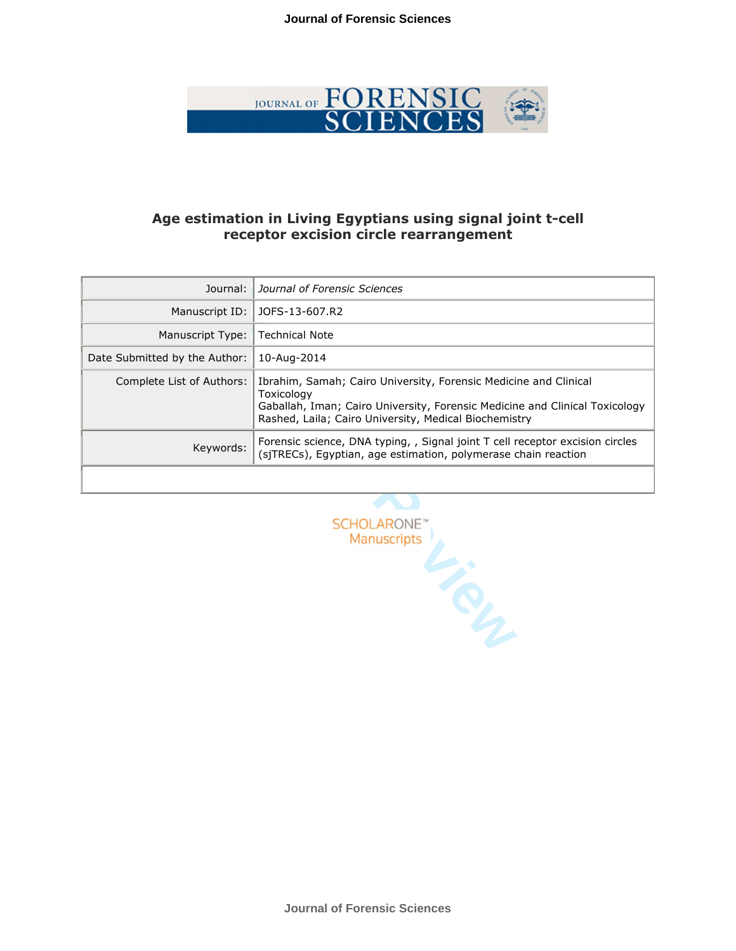

# **Age estimation in Living Egyptians using signal joint t -cell receptor excision circle rearrangement**

| Journal of Forensic Sciences                                                                                                                                                                                           |
|------------------------------------------------------------------------------------------------------------------------------------------------------------------------------------------------------------------------|
| JOFS-13-607.R2                                                                                                                                                                                                         |
| <b>Technical Note</b>                                                                                                                                                                                                  |
| 10-Aug-2014                                                                                                                                                                                                            |
| Ibrahim, Samah; Cairo University, Forensic Medicine and Clinical<br>Toxicology<br>Gaballah, Iman; Cairo University, Forensic Medicine and Clinical Toxicology<br>Rashed, Laila; Cairo University, Medical Biochemistry |
| Forensic science, DNA typing, , Signal joint T cell receptor excision circles<br>(sjTRECs), Egyptian, age estimation, polymerase chain reaction                                                                        |
|                                                                                                                                                                                                                        |
|                                                                                                                                                                                                                        |
| <b>SCHOLARONE</b> "<br>Manuscripts                                                                                                                                                                                     |
|                                                                                                                                                                                                                        |

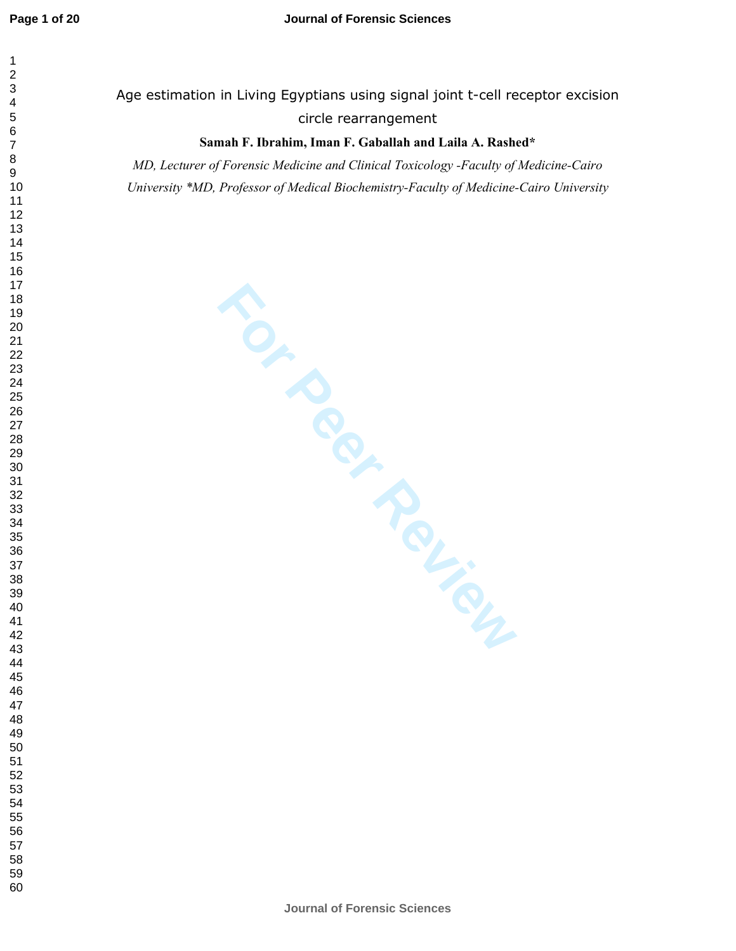| 1              |  |
|----------------|--|
| $\overline{c}$ |  |
|                |  |
|                |  |
|                |  |
|                |  |
|                |  |
|                |  |
|                |  |
|                |  |
|                |  |
|                |  |
|                |  |
|                |  |
|                |  |
|                |  |
|                |  |
|                |  |
|                |  |
|                |  |
|                |  |
|                |  |
|                |  |
|                |  |
|                |  |
|                |  |
|                |  |
|                |  |
|                |  |
|                |  |
|                |  |
|                |  |
|                |  |
|                |  |
|                |  |
|                |  |
|                |  |
| 40             |  |
| 41             |  |
| 42             |  |
| 43             |  |
| 44             |  |
| 45             |  |
| 46             |  |
| 47             |  |
| 48             |  |
| 49             |  |
| 50             |  |
| 51             |  |
| 52             |  |
| 53             |  |
| 54             |  |
| 55             |  |
| 56             |  |
| 57             |  |
| 58             |  |
| 59             |  |

Age estimation in Living Egyptians using signal joint t-cell receptor excision circle rearrangement

#### **Samah F. Ibrahim, Iman F. Gaballah and Laila A. Rashed\***

*MD, Lecturer of Forensic Medicine and Clinical Toxicology -Faculty of Medicine-Cairo University \*MD, Professor of Medical Biochemistry-Faculty of Medicine-Cairo University*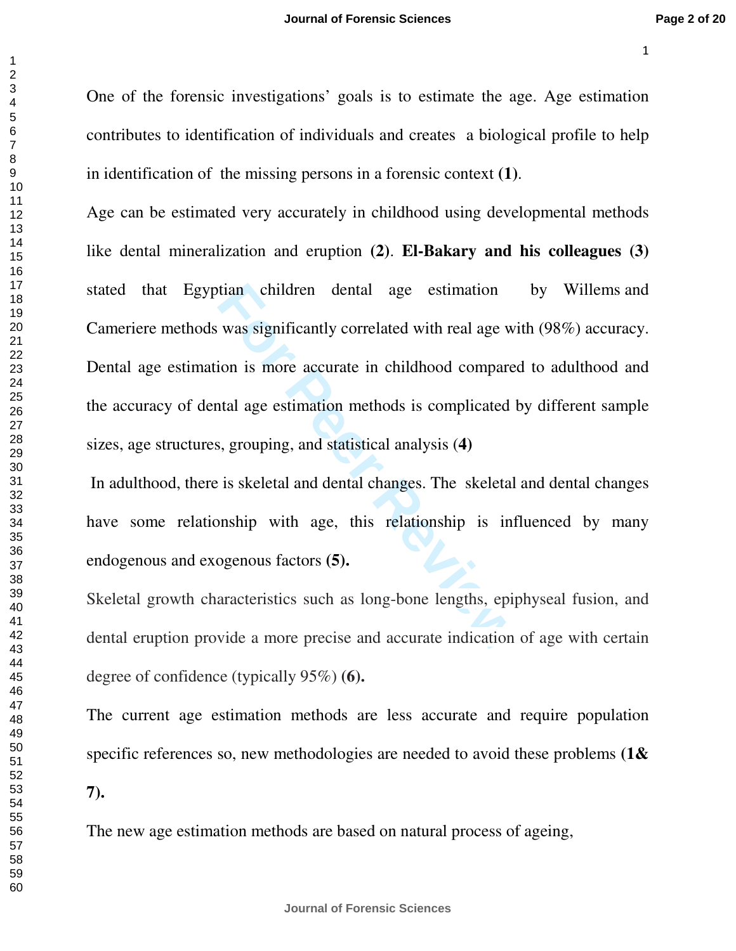One of the forensic investigations' goals is to estimate the age. Age estimation contributes to identification of individuals and creates a biological profile to help in identification of the missing persons in a forensic context **(1)**.

tian children dental age estimation<br>was significantly correlated with real age w:<br>ion is more accurate in childhood compare-<br>tal age estimation methods is complicated l<br>s, grouping, and statistical analysis (4)<br>is skeletal Age can be estimated very accurately in childhood using developmental methods like dental mineralization and eruption **(2)**. **El-Bakary and his colleagues (3)**  stated that Egyptian children dental age estimation by Willems and Cameriere methods was significantly correlated with real age with (98%) accuracy. Dental age estimation is more accurate in childhood compared to adulthood and the accuracy of dental age estimation methods is complicated by different sample sizes, age structures, grouping, and statistical analysis (**4)**

 In adulthood, there is skeletal and dental changes. The skeletal and dental changes have some relationship with age, this relationship is influenced by many endogenous and exogenous factors **(5).** 

Skeletal growth characteristics such as long-bone lengths, epiphyseal fusion, and dental eruption provide a more precise and accurate indication of age with certain degree of confidence (typically 95%) **(6).**

The current age estimation methods are less accurate and require population specific references so, new methodologies are needed to avoid these problems **(1& 7).** 

The new age estimation methods are based on natural process of ageing,

 $\mathbf{1}$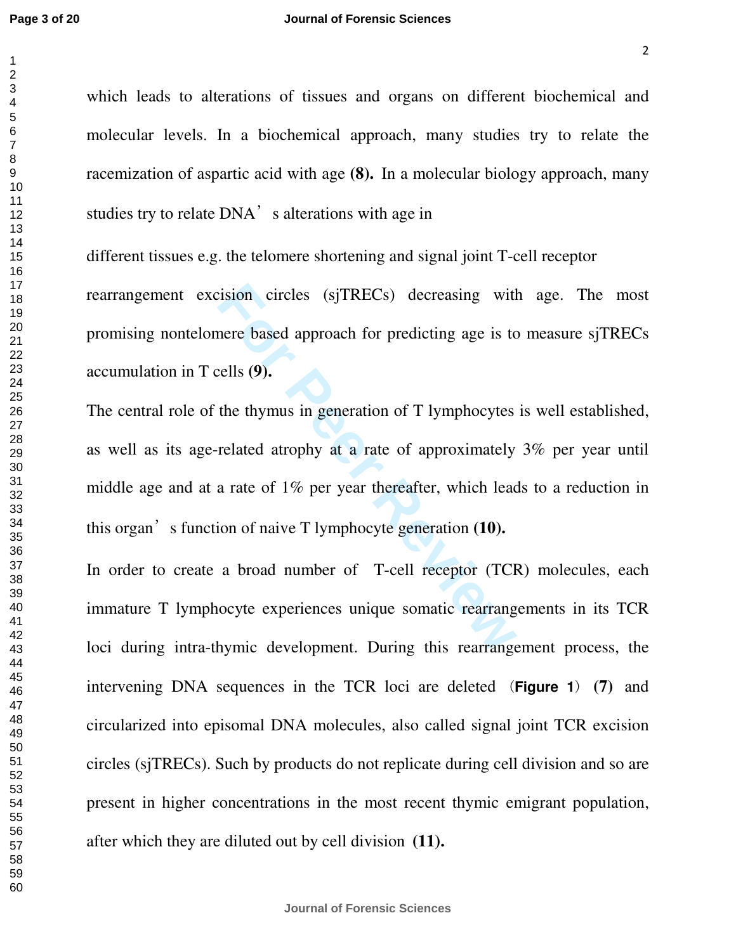**Page 3 of 20**

#### **Journal of Forensic Sciences**

which leads to alterations of tissues and organs on different biochemical and molecular levels. In a biochemical approach, many studies try to relate the racemization of aspartic acid with age **(8).** In a molecular biology approach, many studies try to relate DNA<sup>'</sup> s alterations with age in

different tissues e.g. the telomere shortening and signal joint T-cell receptor

rearrangement excision circles (sjTRECs) decreasing with age. The most promising nontelomere based approach for predicting age is to measure sjTRECs accumulation in T cells **(9).** 

ision circles (sjTRECs) decreasing with<br>nere based approach for predicting age is to<br>cells (9).<br>the thymus in generation of T lymphocytes<br>related atrophy at a rate of approximately<br>a rate of 1% per year thereafter, which l The central role of the thymus in generation of T lymphocytes is well established, as well as its age-related atrophy at a rate of approximately 3% per year until middle age and at a rate of 1% per year thereafter, which leads to a reduction in this organ's function of naive T lymphocyte generation (10).

In order to create a broad number of T-cell receptor (TCR) molecules, each immature T lymphocyte experiences unique somatic rearrangements in its TCR loci during intra-thymic development. During this rearrangement process, the intervening DNA sequences in the TCR loci are deleted (**Figure 1**) **(7)** and circularized into episomal DNA molecules, also called signal joint TCR excision circles (sjTRECs). Such by products do not replicate during cell division and so are present in higher concentrations in the most recent thymic emigrant population, after which they are diluted out by cell division **(11).**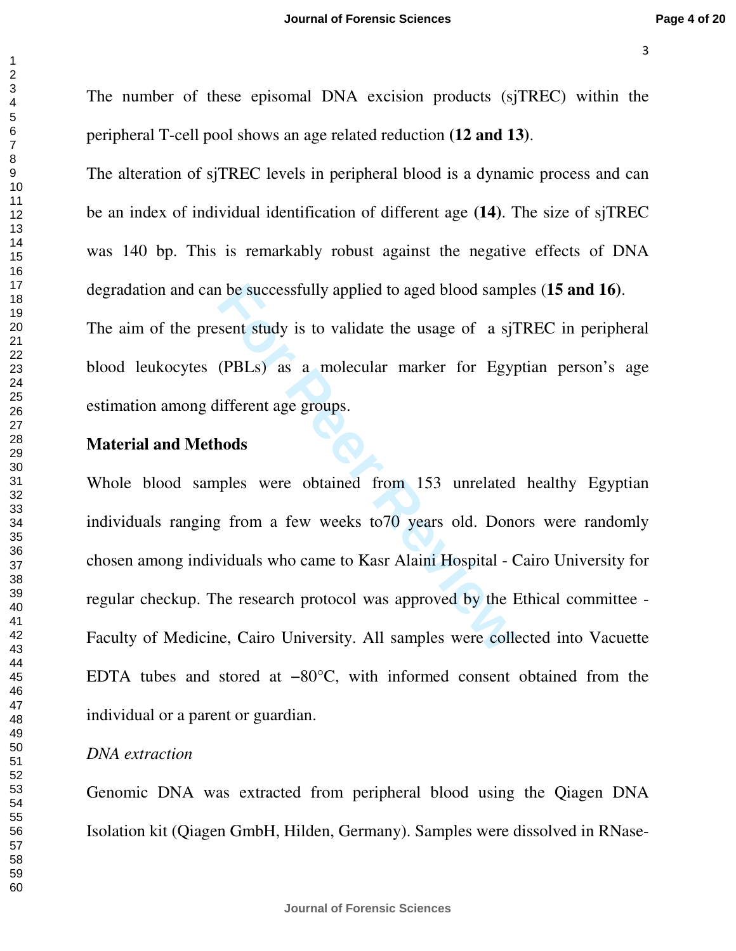The number of these episomal DNA excision products (sjTREC) within the peripheral T-cell pool shows an age related reduction **(12 and 13)**.

The alteration of sjTREC levels in peripheral blood is a dynamic process and can be an index of individual identification of different age **(14)**. The size of sjTREC was 140 bp. This is remarkably robust against the negative effects of DNA degradation and can be successfully applied to aged blood samples (**15 and 16)** . The aim of the present study is to validate the usage of a sjTREC in peripheral blood leukocytes (PBLs) as a molecular marker for Egyptian person's age estimation among different age groups.

#### **Material and Methods**

The successfully applied to aged blood samp<br>
sent study is to validate the usage of a sj<sub>1</sub><br>
(PBLs) as a molecular marker for Egyp<br>
lifferent age groups.<br>
nods<br>
ples were obtained from 153 unrelated<br>
g from a few weeks to7 Whole blood samples were obtained from 153 unrelated healthy Egyptian individuals ranging from a few weeks to70 years old. Donors were randomly chosen among individuals who came to Kasr Alaini Hospital - Cairo University for regular checkup. The research protocol was approved by the Ethical committee - Faculty of Medicine, Cairo University. All samples were collected into Vacuette EDTA tubes and stored at −80°C, with informed consent obtained from the individual or a parent or guardian.

#### *DNA extraction*

Genomic DNA was extracted from peripheral blood using the Qiagen DNA Isolation kit (Qiagen GmbH, Hilden, Germany). Samples were dissolved in RNase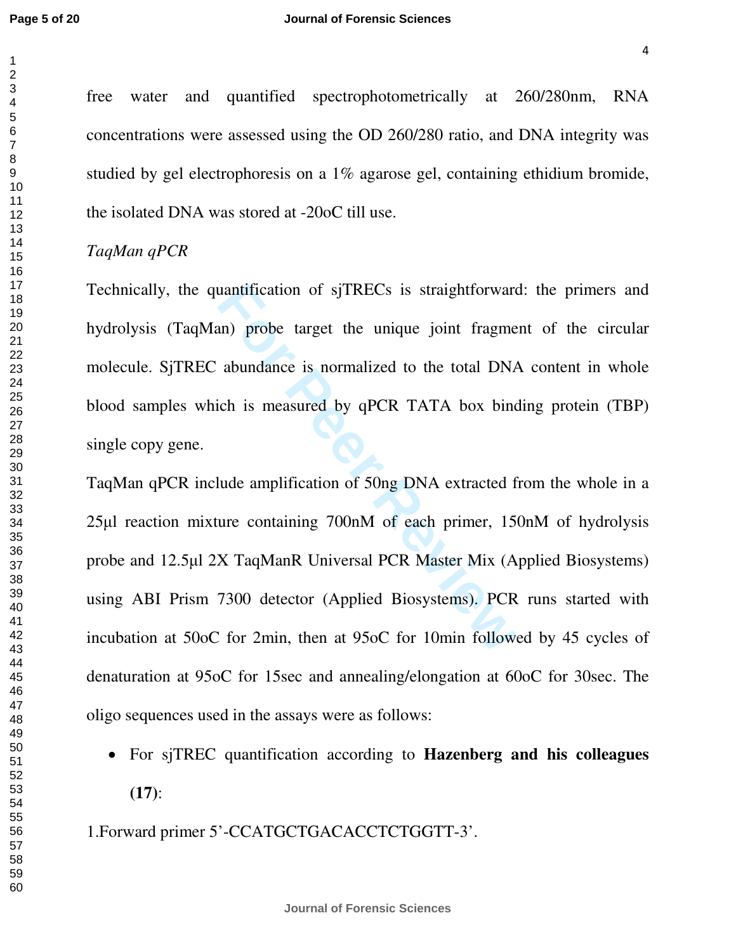free water and quantified spectrophotometrically at 260/280nm, RNA concentrations were assessed using the OD 260/280 ratio, and DNA integrity was studied by gel electrophoresis on a 1% agarose gel, containing ethidium bromide, the isolated DNA was stored at -20oC till use.

## *TaqMan qPCR*

Technically, the quantification of sjTRECs is straightforward: the primers and hydrolysis (TaqMan) probe target the unique joint fragment of the circular molecule. SjTREC abundance is normalized to the total DNA content in whole blood samples which is measured by qPCR TATA box binding protein (TBP) single copy gene.

uantification of sjTRECs is straightforward<br>
in probe target the unique joint fragme<br>
abundance is normalized to the total DNA<br>
ich is measured by qPCR TATA box bind<br>
tude amplification of 50ng DNA extracted f<br>
ure contain TaqMan qPCR include amplification of 50ng DNA extracted from the whole in a µl reaction mixture containing 700nM of each primer, 150nM of hydrolysis probe and 12.5µl 2X TaqManR Universal PCR Master Mix (Applied Biosystems) using ABI Prism 7300 detector (Applied Biosystems). PCR runs started with incubation at 50oC for 2min, then at 95oC for 10min followed by 45 cycles of denaturation at 95oC for 15sec and annealing/elongation at 60oC for 30sec. The oligo sequences used in the assays were as follows:

• For sjTREC quantification according to **Hazenberg and his colleagues (17)**:

1.Forward primer 5'-CCATGCTGACACCTCTGGTT-3'.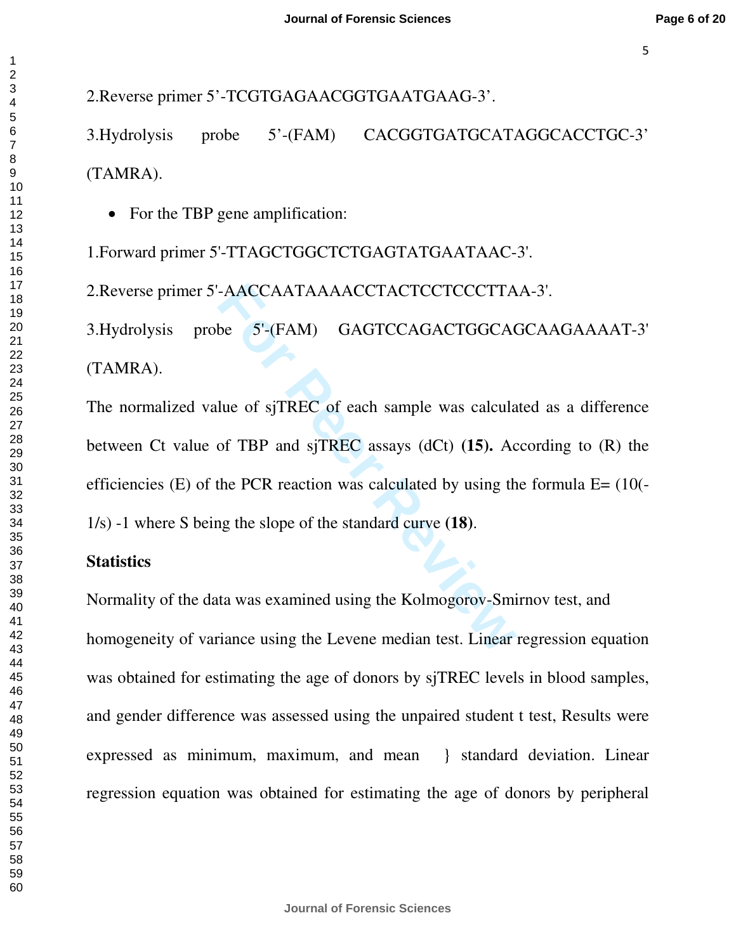2.Reverse primer 5'-TCGTGAGAACGGTGAATGAAG-3'.

3.Hydrolysis probe 5'-(FAM) CACGGTGATGCATAGGCACCTGC-3' (TAMRA).

• For the TBP gene amplification:

1.Forward primer 5'-TTAGCTGGCTCTGAGTATGAATAAC-3'.

2.Reverse primer 5'-AACCAATAAAACCTACTCCTCCCTTAA-3'.

3.Hydrolysis probe 5'-(FAM) GAGTCCAGACTGGCAGCAAGAAAAT-3' (TAMRA).

-AACCAATAAAACCTACTCCTCCCTTA<br>be 5'-(FAM) GAGTCCAGACTGGCAC<br>lue of sjTREC of each sample was calcula<br>of TBP and sjTREC assays (dCt) (**15).** Ac<br>the PCR reaction was calculated by using th<br>ng the slope of the standard curve (**1** The normalized value of sjTREC of each sample was calculated as a difference between Ct value of TBP and sjTREC assays (dCt) **(15).** According to (R) the efficiencies (E) of the PCR reaction was calculated by using the formula  $E = (10(-))$ 1/s) -1 where S being the slope of the standard curve **(18)**.

# **Statistics**

Normality of the data was examined using the Kolmogorov-Smirnov test, and homogeneity of variance using the Levene median test. Linear regression equation was obtained for estimating the age of donors by sjTREC levels in blood samples, and gender difference was assessed using the unpaired student t test, Results were expressed as minimum, maximum, and mean } standard deviation. Linear regression equation was obtained for estimating the age of donors by peripheral

 $\mathbf{1}$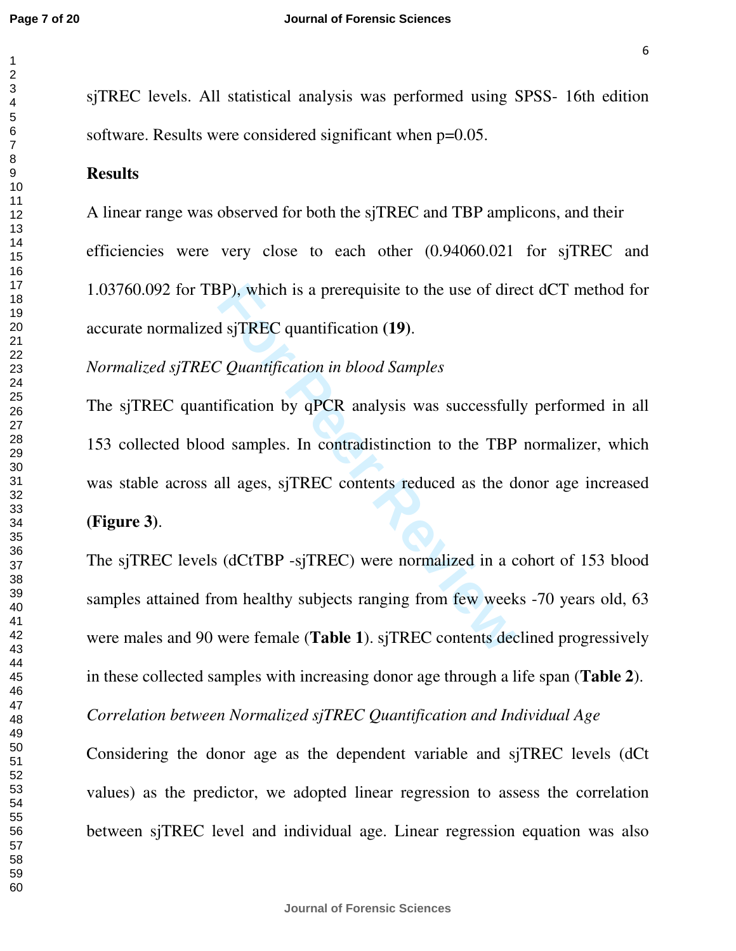sjTREC levels. All statistical analysis was performed using SPSS- 16th edition software. Results were considered significant when  $p=0.05$ .

## **Results**

A linear range was observed for both the sjTREC and TBP amplicons, and their efficiencies were very close to each other (0.94060.021 for sjTREC and 1.03760.092 for TBP), which is a prerequisite to the use of direct dCT method for accurate normalized sjTREC quantification **(19)**.

*Normalized sjTREC Quantification in blood Samples* 

**SP)**, which is a prerequisite to the use of direction 1 sjTREC quantification (19).<br>
C *Quantification in blood Samples*<br>
ification by qPCR analysis was successfull<br>
d samples. In contradistinction to the TBP<br>
all ages, s The sjTREC quantification by qPCR analysis was successfully performed in all 153 collected blood samples. In contradistinction to the TBP normalizer, which was stable across all ages, sjTREC contents reduced as the donor age increased **(Figure 3)**.

The sjTREC levels (dCtTBP -sjTREC) were normalized in a cohort of 153 blood samples attained from healthy subjects ranging from few weeks -70 years old, 63 were males and 90 were female (**Table 1**). sjTREC contents declined progressively in these collected samples with increasing donor age through a life span (**Table 2**). *Correlation between Normalized sjTREC Quantification and Individual Age* 

Considering the donor age as the dependent variable and sjTREC levels (dCt values) as the predictor, we adopted linear regression to assess the correlation between sjTREC level and individual age. Linear regression equation was also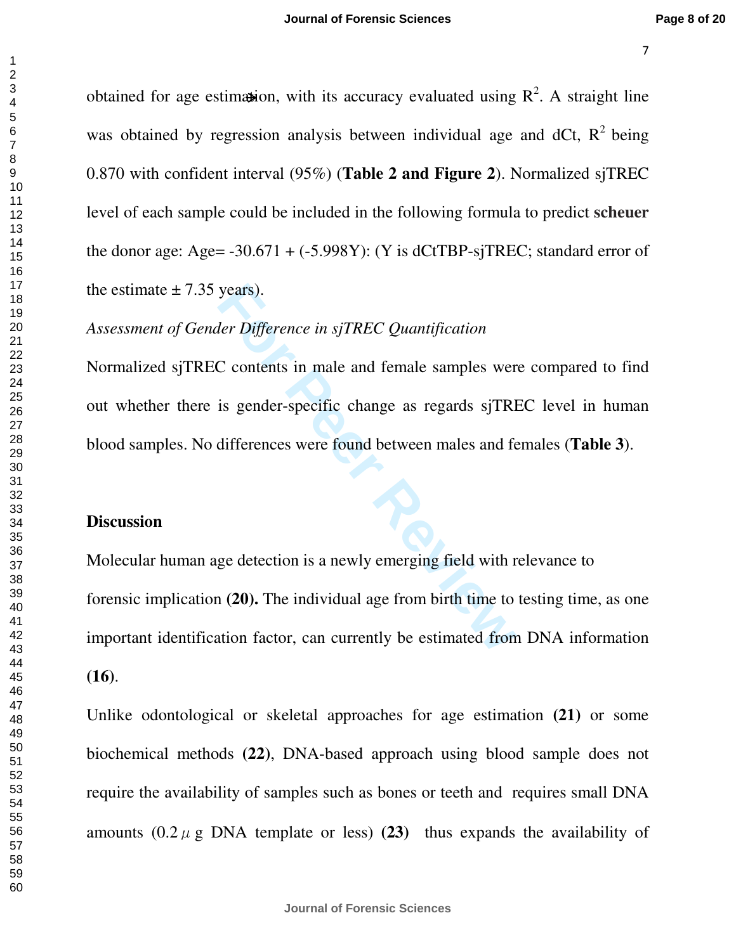obtained for age estimation, with its accuracy evaluated using  $\mathbb{R}^2$ . A straight line was obtained by regression analysis between individual age and dCt,  $R^2$  being 0.870 with confident interval (95%) (**Table 2 and Figure 2**). Normalized sjTREC level of each sample could be included in the following formula to predict **scheuer** the donor age: Age =  $-30.671 + (-5.998Y)$ : (Y is dCtTBP-sjTREC; standard error of the estimate  $\pm$  7.35 years).

# *Assessment of Gender Difference in sjTREC Quantification*

Normalized sjTREC contents in male and female samples were compared to find out whether there is gender-specific change as regards sjTREC level in human blood samples. No differences were found between males and females (**Table 3**).

#### **Discussion**

For Pufference in sjTREC Quantification<br>
C contents in male and female samples wer<br>
is gender-specific change as regards sjTRI<br>
differences were found between males and fe<br>
ge detection is a newly emerging field with r<br>
1 Molecular human age detection is a newly emerging field with relevance to forensic implication **(20).** The individual age from birth time to testing time, as one important identification factor, can currently be estimated from DNA information **(16)**.

Unlike odontological or skeletal approaches for age estimation **(21)** or some biochemical methods **(22)**, DNA-based approach using blood sample does not require the availability of samples such as bones or teeth and requires small DNA amounts  $(0.2 \mu g$  DNA template or less)  $(23)$  thus expands the availability of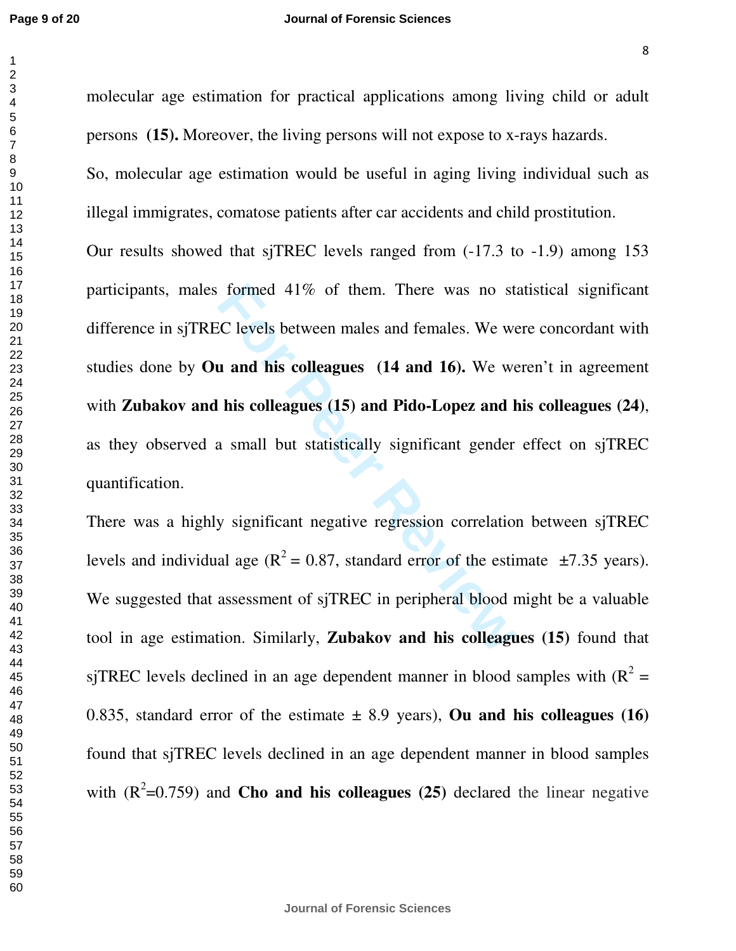formed 41% of them. There was no stack the star Peerle SC levels between males and females. We were **and his colleagues** (14 and 16). We were his colleagues (15) and Pido-Lopez and has small but statistically significant molecular age estimation for practical applications among living child or adult persons **(15).** Moreover, the living persons will not expose to x-rays hazards. So, molecular age estimation would be useful in aging living individual such as illegal immigrates, comatose patients after car accidents and child prostitution. Our results showed that sjTREC levels ranged from (-17.3 to -1.9) among 153 participants, males formed 41% of them. There was no statistical significant difference in sjTREC levels between males and females. We were concordant with studies done by **Ou and his colleagues (14 and 16).** We weren't in agreement with **Zubakov and his colleagues (15) and Pido-Lopez and his colleagues (24)**, as they observed a small but statistically significant gender effect on sjTREC quantification.

There was a highly significant negative regression correlation between sjTREC levels and individual age ( $R^2 = 0.87$ , standard error of the estimate  $\pm 7.35$  years). We suggested that assessment of sjTREC in peripheral blood might be a valuable tool in age estimation. Similarly, **Zubakov and his colleagues (15)** found that sjTREC levels declined in an age dependent manner in blood samples with  $(R^2 =$ 0.835, standard error of the estimate  $\pm$  8.9 years), **Ou and his colleagues** (16) found that sjTREC levels declined in an age dependent manner in blood samples with  $(R^2=0.759)$  and **Cho and his colleagues (25)** declared the linear negative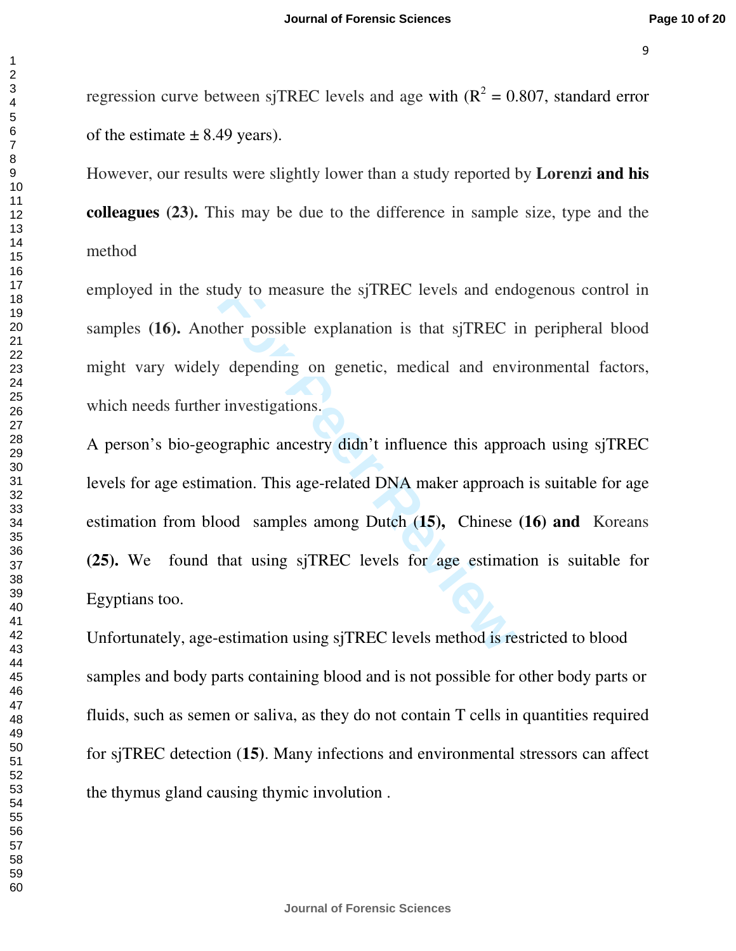regression curve between sjTREC levels and age with  $(R^2 = 0.807$ , standard error of the estimate  $\pm$  8.49 years).

However, our results were slightly lower than a study reported by **Lorenzi and his colleagues (23).** This may be due to the difference in sample size, type and the method

employed in the study to measure the sjTREC levels and endogenous control in samples (16). Another possible explanation is that sjTREC in peripheral blood might vary widely depending on genetic, medical and environmental factors, which needs further investigations.

and ther possible explanation is that sjTREC is<br>ther possible explanation is that sjTREC is<br>depending on genetic, medical and envertively<br>investigations.<br>graphic ancestry didn't influence this approach<br>ation. This age-rela A person's bio-geographic ancestry didn't influence this approach using sjTREC levels for age estimation. This age-related DNA maker approach is suitable for age estimation from blood samples among Dutch (**15),** Chinese **(16) and** Koreans **(25).** We found that using sjTREC levels for age estimation is suitable for Egyptians too.

Unfortunately, age-estimation using sjTREC levels method is restricted to blood samples and body parts containing blood and is not possible for other body parts or fluids, such as semen or saliva, as they do not contain T cells in quantities required for sjTREC detection (**15)**. Many infections and environmental stressors can affect the thymus gland causing thymic involution .

 $\mathbf{1}$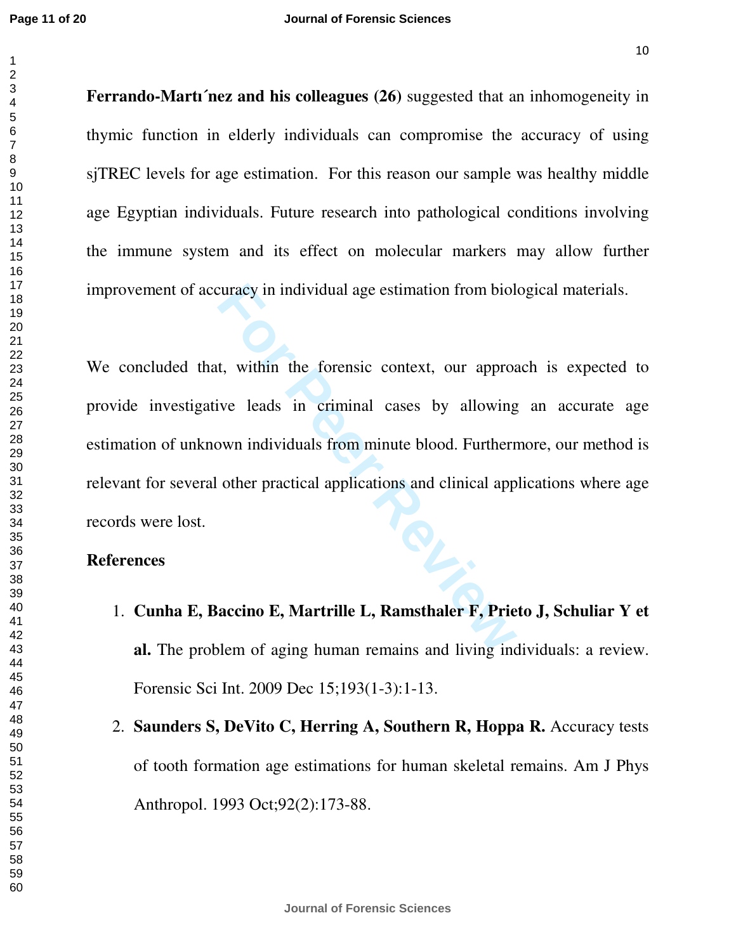**Ferrando-Martı´nez and his colleagues (26)** suggested that an inhomogeneity in thymic function in elderly individuals can compromise the accuracy of using sjTREC levels for age estimation. For this reason our sample was healthy middle age Egyptian individuals. Future research into pathological conditions involving the immune system and its effect on molecular markers may allow further improvement of accuracy in individual age estimation from biological materials.

External values are estimation from biol<br> **For Peer Review Conference Confext, our approx**<br>
For Peer Review and Conference Practical applications and clinical app<br> **For Peer Practical applications and clinical app**<br> **For P** We concluded that, within the forensic context, our approach is expected to provide investigative leads in criminal cases by allowing an accurate age estimation of unknown individuals from minute blood. Furthermore, our method is relevant for several other practical applications and clinical applications where age records were lost.

## **References**

- 1. **Cunha E, Baccino E, Martrille L, Ramsthaler F, Prieto J, Schuliar Y et al.** The problem of aging human remains and living individuals: a review. Forensic Sci Int. 2009 Dec 15;193(1-3):1-13.
- 2. **Saunders S, DeVito C, Herring A, Southern R, Hoppa R.** Accuracy tests of tooth formation age estimations for human skeletal remains. Am J Phys Anthropol. 1993 Oct;92(2):173-88.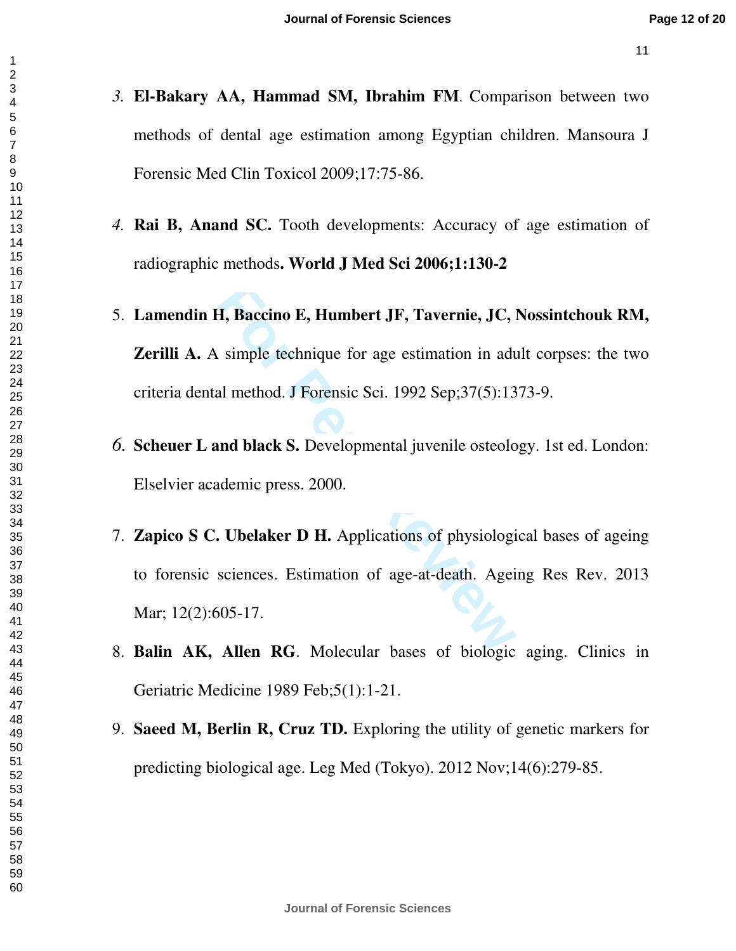- *3.* **El-Bakary AA, Hammad SM, Ibrahim FM** . Comparison between two methods of dental age estimation among Egyptian children. Mansoura J Forensic Med Clin Toxicol 2009;17:75-86.
- *4.* **Rai B, Anand SC.** Tooth developments: Accuracy of age estimation of radiographic methods**. World J Med Sci 2006;1:130-2**
- **F, Baccino E, Humbert JF, Tavernie, JC, I**<br>simple technique for age estimation in add<br>al method. J Forensic Sci. 1992 Sep;37(5):13<br>and black S. Developmental juvenile osteolo<br>idemic press. 2000.<br>**CUDE CONCERT DE H.** Appli 5. **Lamendin H, Baccino E, Humbert JF, Tavernie, JC, Nossintchouk RM, Zerilli A.** A simple technique for age estimation in adult corpses: the two criteria dental method. J Forensic Sci. 1992 Sep;37(5):1373-9.
- *6.* **Scheuer L and black S.** Developmental juvenile osteology. 1st ed. London: Elselvier academic press. 2000.
- 7. **Zapico S C. Ubelaker D H.** Applications of physiological bases of ageing to forensic sciences. Estimation of age-at-death. Ageing Res Rev. 2013 Mar; 12(2):605-17.
- 8. **Balin AK, Allen RG**. Molecular bases of biologic aging. Clinics in Geriatric Medicine 1989 Feb;5(1):1-21.
- 9. **Saeed M, Berlin R, Cruz TD.** Exploring the utility of genetic markers for predicting biological age. Leg Med (Tokyo). 2012 Nov;14(6):279-85.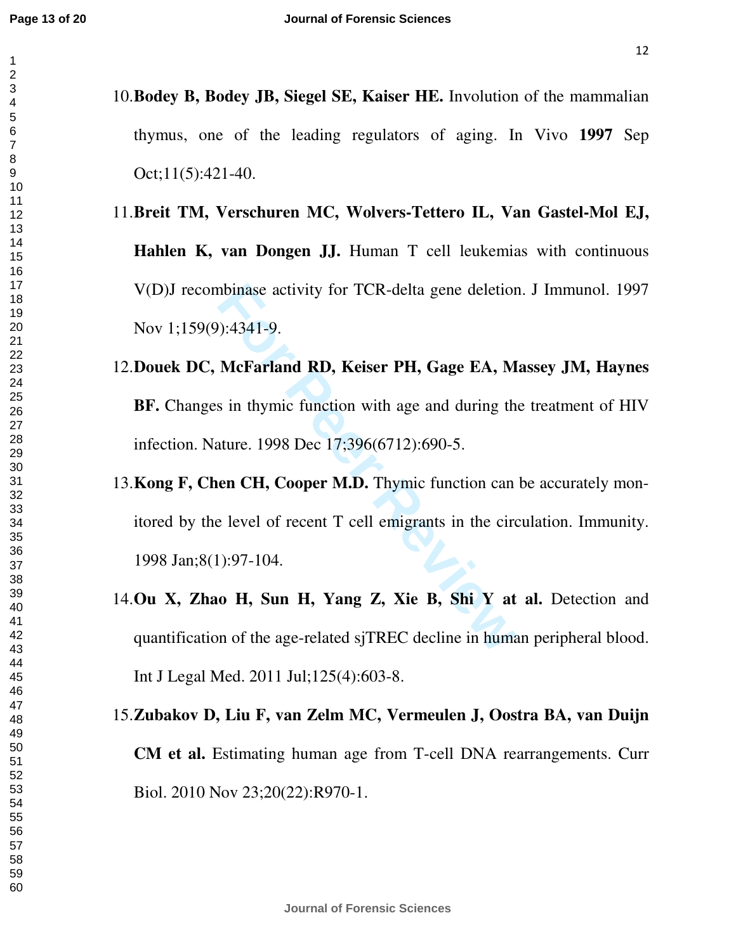- 10.**Bodey B, Bodey JB, Siegel SE, Kaiser HE.** Involution of the mammalian thymus, one of the leading regulators of aging. In Vivo **1997** Sep Oct;11(5):421-40.
- 11.**Breit TM, Verschuren MC, Wolvers-Tettero IL, Van Gastel-Mol EJ, Hahlen K, van Dongen JJ.** Human T cell leukemias with continuous V(D)J recombinase activity for TCR-delta gene deletion. J Immunol. 1997 Nov 1;159(9):4341-9.
- 12.**Douek DC, McFarland RD, Keiser PH, Gage EA, Massey JM, Haynes BF.** Changes in thymic function with age and during the treatment of HIV infection. Nature. 1998 Dec 17;396(6712):690-5.
- motion assessivity for TCR-delta gene deletion<br>
For PH, Gage EA, M<br> **For PH, Gage EA, M**<br> **For PH, Gage EA, M**<br> **For PH, Gage EA, M**<br> **For PH, Cooper PH, Gage and during th**<br> **EXECUTE:**<br> **FORTER:**<br> **FORTER:**<br> **FORTER:**<br> **F** 13.**Kong F, Chen CH, Cooper M.D.** Thymic function can be accurately monitored by the level of recent T cell emigrants in the circulation. Immunity. 1998 Jan;8(1):97-104.
- 14.Ou X, Zhao H, Sun H, Yang Z, Xie B, Shi Y at al. Detection and quantification of the age-related sjTREC decline in human peripheral blood. Int J Legal Med. 2011 Jul;125(4):603-8.

15.**Zubakov D, Liu F, van Zelm MC, Vermeulen J, Oostra BA, van Duijn CM et al.** Estimating human age from T-cell DNA rearrangements. Curr Biol. 2010 Nov 23;20(22):R970-1.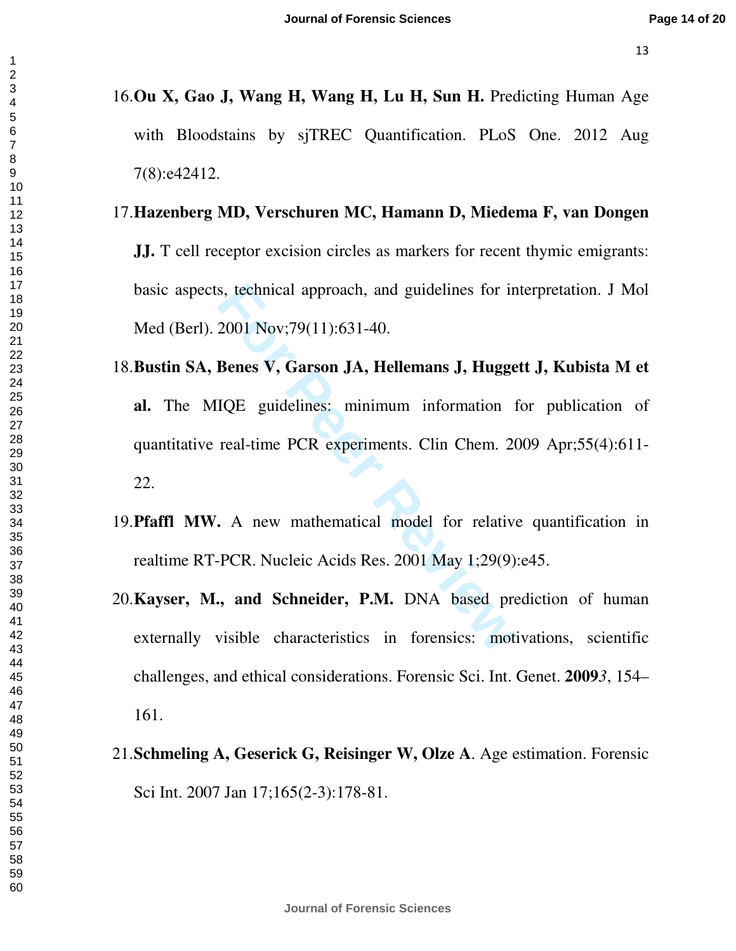- 16.**Ou X, Gao J, Wang H, Wang H, Lu H, Sun H.** Predicting Human Age with Bloodstains by sjTREC Quantification. PLoS One. 2012 Aug 7(8):e42412.
- 17.**Hazenberg MD, Verschuren MC, Hamann D, Miedema F, van Dongen JJ.** T cell receptor excision circles as markers for recent thymic emigrants: basic aspects, technical approach, and guidelines for interpretation. J Mol Med (Berl). 2001 Nov;79(11):631-40.
- s, technical approach, and guidelines for in<br>
2001 Nov;79(11):631-40.<br> **Benes V, Garson JA, Hellemans J, Hugge**<br>
IQE guidelines: minimum information 1<br>
real-time PCR experiments. Clin Chem. 20<br>
A new mathematical model for 18.**Bustin SA, Benes V, Garson JA, Hellemans J, Huggett J, Kubista M et al.** The MIQE guidelines: minimum information for publication of quantitative real-time PCR experiments. Clin Chem. 2009 Apr;55(4):611- 22.
- 19.**Pfaffl MW.** A new mathematical model for relative quantification in realtime RT-PCR. Nucleic Acids Res. 2001 May 1;29(9):e45.
- 20.**Kayser, M., and Schneider, P.M.** DNA based prediction of human externally visible characteristics in forensics: motivations, scientific challenges, and ethical considerations. Forensic Sci. Int. Genet. **2009** *3*, 154– 161.
- 21.**Schmeling A, Geserick G, Reisinger W, Olze A**. Age estimation. Forensic Sci Int. 2007 Jan 17;165(2-3):178-81.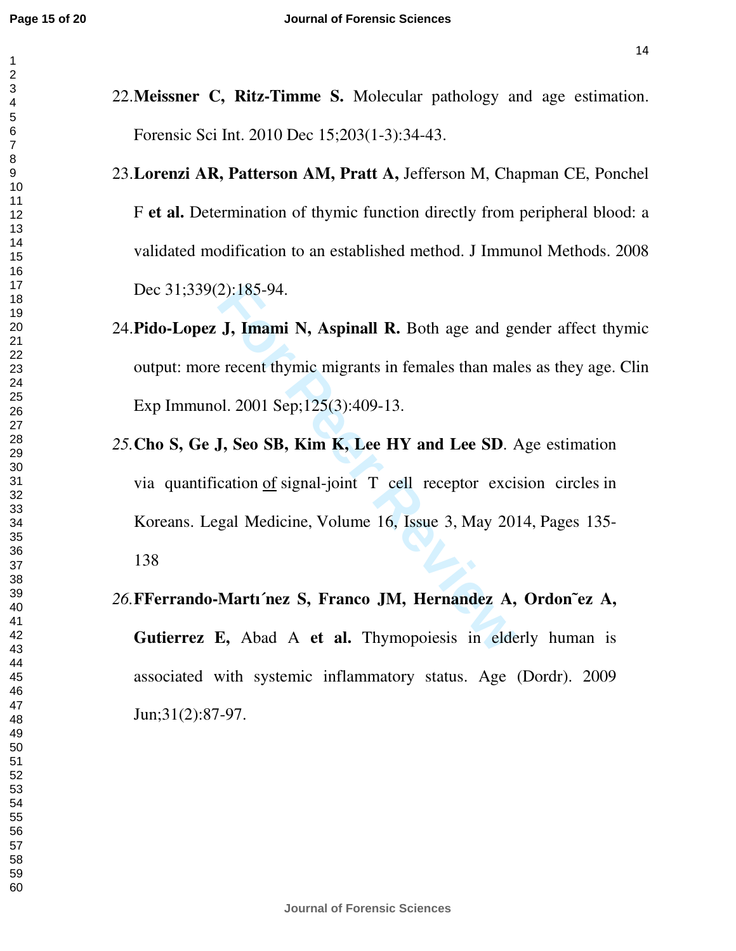- 22.**Meissner C, Ritz-Timme S.** Molecular pathology and age estimation. Forensic Sci Int. 2010 Dec 15;203(1-3):34-43.
- 23.**Lorenzi AR, Patterson AM, Pratt A,** Jefferson M, Chapman CE, Ponchel F **et al.** Determination of thymic function directly from peripheral blood: a validated modification to an established method. J Immunol Methods. 2008 Dec 31;339(2):185-94.
- 24.**Pido-Lopez J, Imami N, Aspinall R.** Both age and gender affect thymic output: more recent thymic migrants in females than males as they age. Clin Exp Immunol. 2001 Sep;125(3):409-13.
- 2):185-94.<br> **J, Imami N, Aspinall R.** Both age and general peer recent thymic migrants in females than malpl. 2001 Sep;125(3):409-13.<br> **J, Seo SB, Kim K, Lee HY and Lee SD**. A cation of signal-joint T cell receptor excipa *25.***Cho S, Ge J, Seo SB, Kim K, Lee HY and Lee SD**. Age estimation via quantification of signal-joint T cell receptor excision circles in Koreans. Legal Medicine, Volume 16, Issue 3, May 2014, Pages 135-
- *26.***FFerrando-Martı´nez S, Franco JM, Hernandez A, Ordon˜ez A, Gutierrez E,** Abad A **et al.** Thymopoiesis in elderly human is associated with systemic inflammatory status. Age (Dordr). 2009 Jun;31(2):87-97.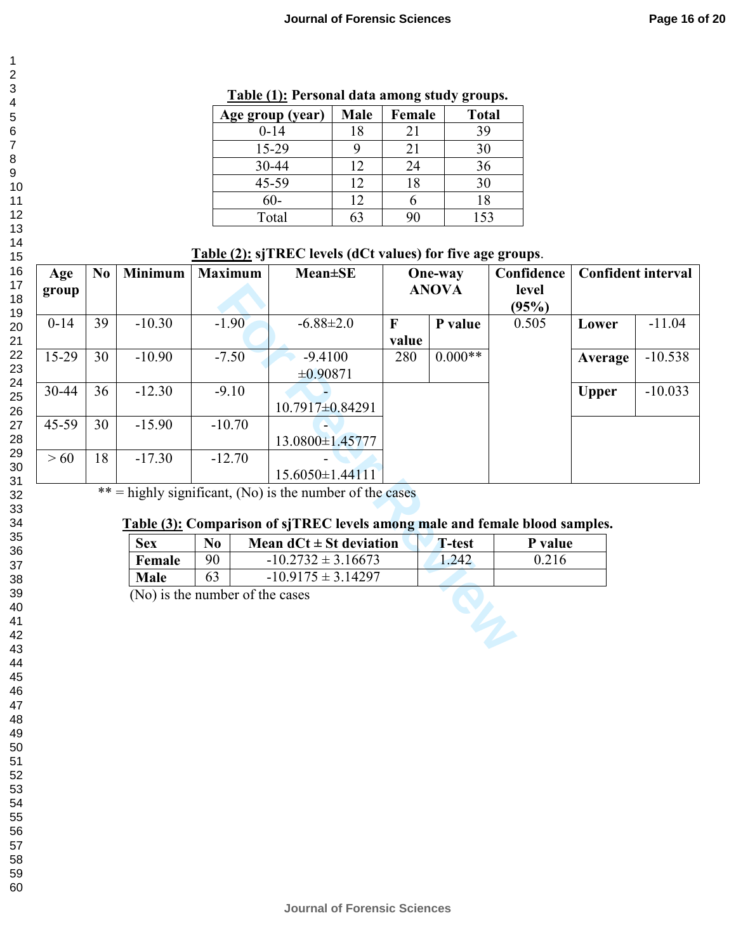| 1                                  |                                     |
|------------------------------------|-------------------------------------|
| $\overline{\mathbf{r}}$            |                                     |
| 3                                  |                                     |
| $\frac{4}{5}$                      |                                     |
|                                    |                                     |
|                                    |                                     |
|                                    |                                     |
|                                    |                                     |
|                                    |                                     |
|                                    |                                     |
|                                    |                                     |
|                                    |                                     |
|                                    |                                     |
|                                    |                                     |
|                                    |                                     |
|                                    |                                     |
|                                    |                                     |
|                                    |                                     |
|                                    |                                     |
|                                    |                                     |
|                                    |                                     |
|                                    | - 789111111111122222222233333333333 |
|                                    |                                     |
|                                    |                                     |
|                                    |                                     |
|                                    |                                     |
|                                    |                                     |
|                                    |                                     |
|                                    |                                     |
|                                    |                                     |
|                                    |                                     |
|                                    |                                     |
|                                    |                                     |
|                                    |                                     |
|                                    |                                     |
|                                    |                                     |
|                                    |                                     |
|                                    |                                     |
|                                    |                                     |
|                                    |                                     |
|                                    |                                     |
|                                    | 40                                  |
| 4 <sup>1</sup>                     | 1                                   |
| 42                                 |                                     |
| $4\overset{^2}{\scriptstyle \sim}$ | Š                                   |
| 44                                 |                                     |
| 45                                 |                                     |
| 46                                 |                                     |
| 47                                 | ì                                   |
|                                    |                                     |
| 48                                 |                                     |
|                                    | 49                                  |
| 50                                 |                                     |
| ŗ                                  | $\mathbf{51}$                       |
|                                    | $\overline{2}$                      |
| Ë                                  | ×<br>ξ                              |
| 54                                 |                                     |
| 55                                 |                                     |
|                                    |                                     |
|                                    | 56                                  |

58 59 60

| Age group (year) | <b>Male</b> | Female | <b>Total</b> |
|------------------|-------------|--------|--------------|
| $0 - 14$         | $\delta$    | 21     | 39           |
| 15-29            |             |        | 30           |
| 30-44            |             | 24     | 36           |
| 45-59            | 12          | 18     | 30           |
| $60 -$           |             |        | 18           |
| Total            | 63          | 90     | 153          |

## **Table (1): Personal data among study groups.**

## **Table (2): sjTREC levels (dCt values) for five age groups**.

| Age                                                                         | N <sub>0</sub> | <b>Minimum</b> | <b>Maximum</b> | <b>Mean</b> ±SE                                            | One-way      |               |         |              | Confidence |  | <b>Confident interval</b> |
|-----------------------------------------------------------------------------|----------------|----------------|----------------|------------------------------------------------------------|--------------|---------------|---------|--------------|------------|--|---------------------------|
| group                                                                       |                |                |                |                                                            | <b>ANOVA</b> |               | level   |              |            |  |                           |
|                                                                             |                |                |                |                                                            |              |               | (95%)   |              |            |  |                           |
| $0 - 14$                                                                    | 39             | $-10.30$       | $-1.90$        | $-6.88 \pm 2.0$                                            | $\mathbf{F}$ | P value       | 0.505   | Lower        | $-11.04$   |  |                           |
|                                                                             |                |                |                |                                                            | value        |               |         |              |            |  |                           |
| $15-29$                                                                     | 30             | $-10.90$       | $-7.50$        | $-9.4100$                                                  | 280          | $0.000**$     |         | Average      | $-10.538$  |  |                           |
|                                                                             |                |                |                | $\pm 0.90871$                                              |              |               |         |              |            |  |                           |
| 30-44                                                                       | 36             | $-12.30$       | $-9.10$        |                                                            |              |               |         | <b>Upper</b> | $-10.033$  |  |                           |
|                                                                             |                |                |                | $10.7917\pm0.84291$                                        |              |               |         |              |            |  |                           |
| $45 - 59$                                                                   | 30             | $-15.90$       | $-10.70$       |                                                            |              |               |         |              |            |  |                           |
|                                                                             |                |                |                | 13.0800±1.45777                                            |              |               |         |              |            |  |                           |
| >60                                                                         | 18             | $-17.30$       | $-12.70$       |                                                            |              |               |         |              |            |  |                           |
|                                                                             |                |                |                | $15.6050 \pm 1.44111$                                      |              |               |         |              |            |  |                           |
|                                                                             |                |                |                | $**$ = highly significant, (No) is the number of the cases |              |               |         |              |            |  |                           |
|                                                                             |                |                |                |                                                            |              |               |         |              |            |  |                           |
| Table (3): Comparison of sjTREC levels among male and female blood samples. |                |                |                |                                                            |              |               |         |              |            |  |                           |
|                                                                             |                | <b>Sex</b>     | N <sub>0</sub> | Mean $dCt \pm St$ deviation                                |              | <b>T-test</b> | P value |              |            |  |                           |
|                                                                             |                | Female         | 90             | $-10.2732 \pm 3.16673$                                     |              | 1.242         | 0.216   |              |            |  |                           |
|                                                                             |                | <b>Male</b>    | 63             | $-10.9175 \pm 3.14297$                                     |              |               |         |              |            |  |                           |
| (No) is the number of the cases                                             |                |                |                |                                                            |              |               |         |              |            |  |                           |
|                                                                             |                |                |                |                                                            |              |               |         |              |            |  |                           |
|                                                                             |                |                |                |                                                            |              |               |         |              |            |  |                           |
|                                                                             |                |                |                |                                                            |              |               |         |              |            |  |                           |

# **Table (3): Comparison of sjTREC levels among male and female blood samples.**

| <b>Sex</b> | No | Mean $dCt \pm St$ deviation | <b>T</b> -test | P value |
|------------|----|-----------------------------|----------------|---------|
| Female     | 90 | $-10.2732 \pm 3.16673$      | -242           | 0.216   |
| Male       |    | $-10.9175 \pm 3.14297$      |                |         |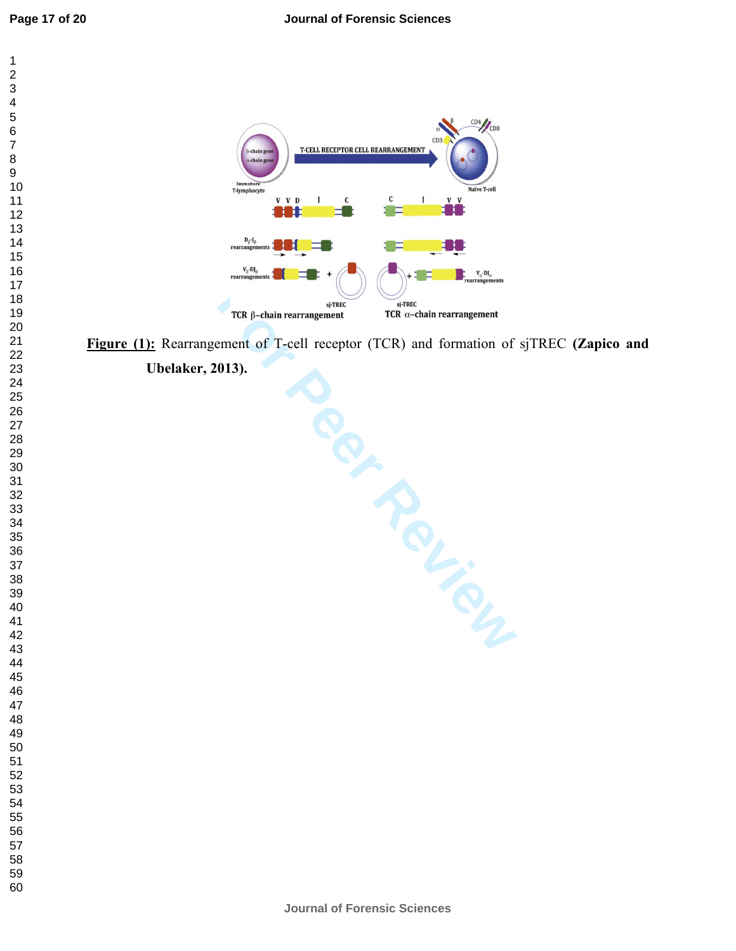$\mathbf{1}$  $\overline{2}$  $\overline{\mathbf{4}}$  $\overline{7}$ 



**Figure (1):** Rearrangement of T-cell receptor (TCR) and formation of sjTREC **(Zapico and Ubelaker, 2013).**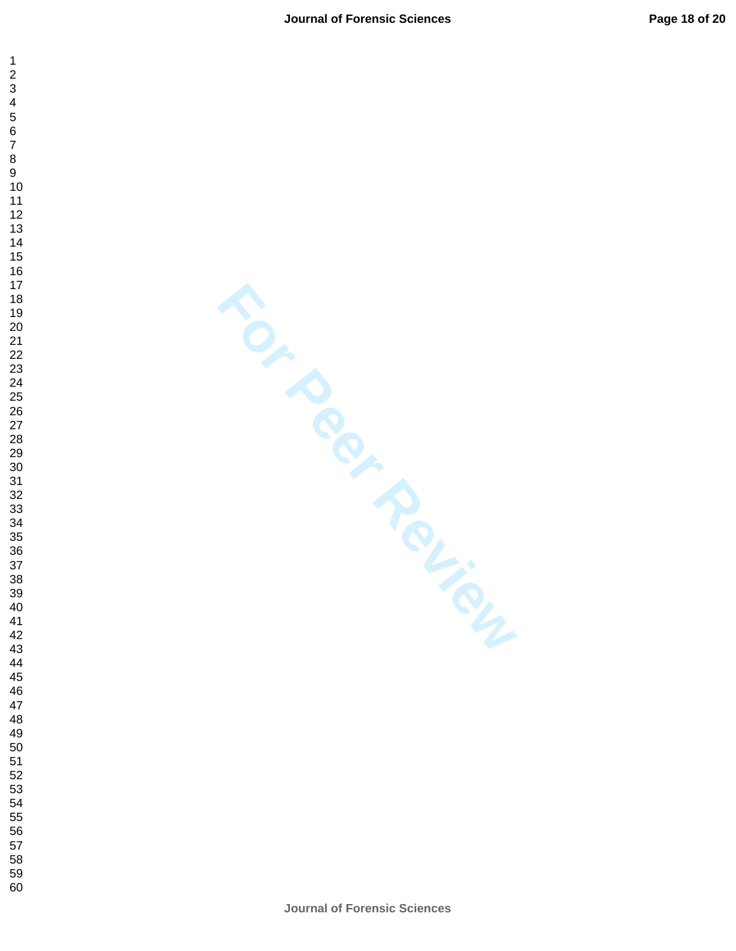$\mathbf{1}$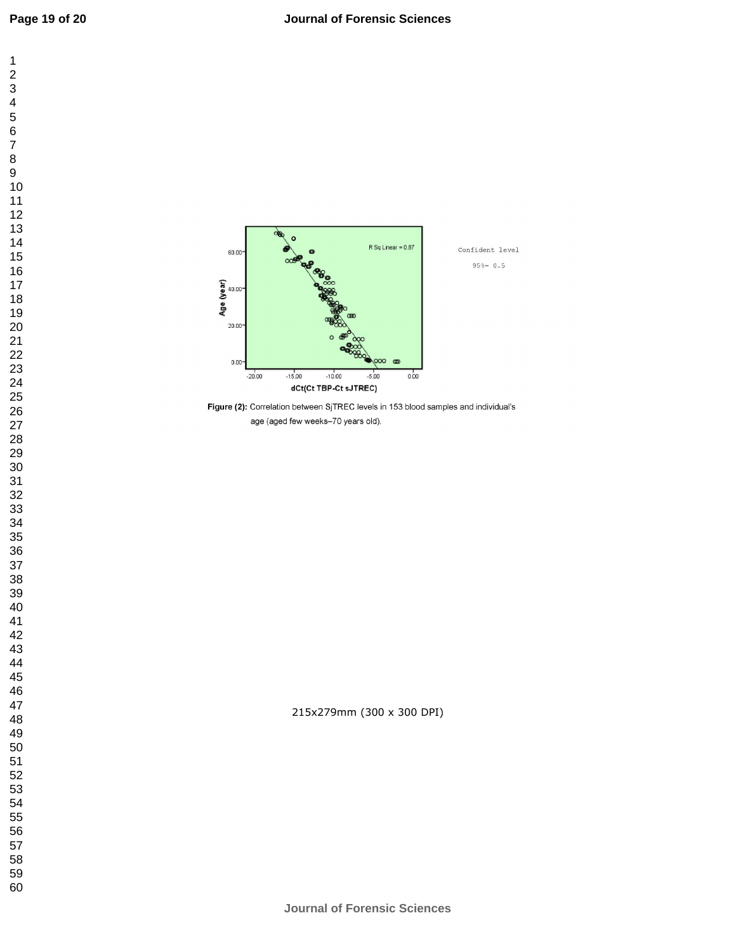



Confident level

 $95% = 0.5$ 

215x279mm (300 x 300 DPI)